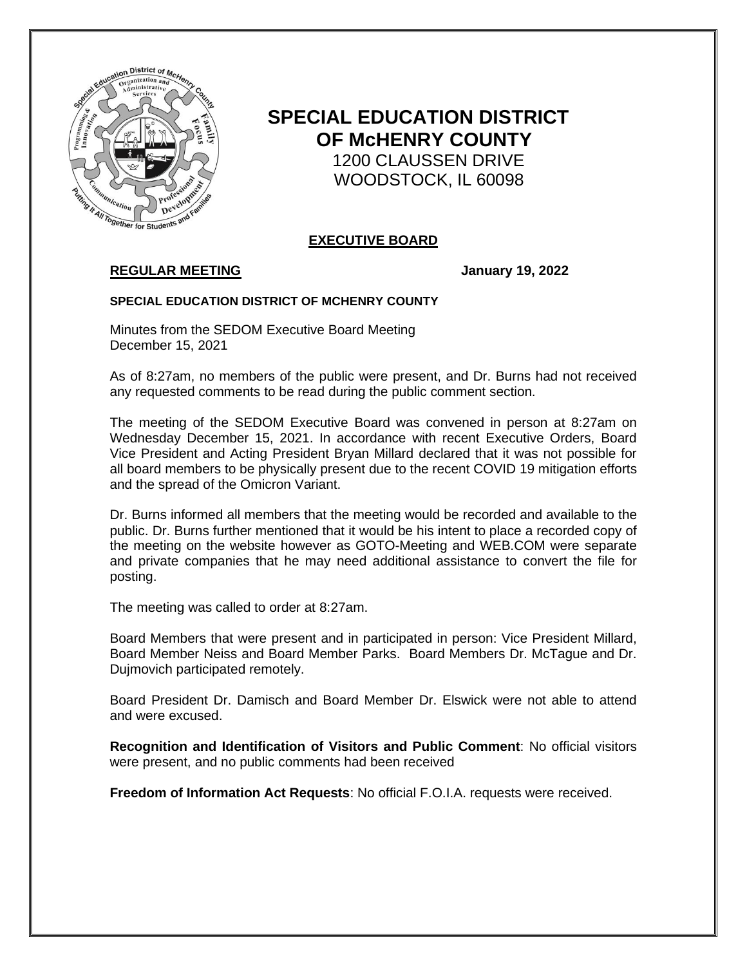

# **SPECIAL EDUCATION DISTRICT OF McHENRY COUNTY** 1200 CLAUSSEN DRIVE WOODSTOCK, IL 60098

## **EXECUTIVE BOARD**

# **REGULAR MEETING January 19, 2022**

#### **SPECIAL EDUCATION DISTRICT OF MCHENRY COUNTY**

Minutes from the SEDOM Executive Board Meeting December 15, 2021

As of 8:27am, no members of the public were present, and Dr. Burns had not received any requested comments to be read during the public comment section.

The meeting of the SEDOM Executive Board was convened in person at 8:27am on Wednesday December 15, 2021. In accordance with recent Executive Orders, Board Vice President and Acting President Bryan Millard declared that it was not possible for all board members to be physically present due to the recent COVID 19 mitigation efforts and the spread of the Omicron Variant.

Dr. Burns informed all members that the meeting would be recorded and available to the public. Dr. Burns further mentioned that it would be his intent to place a recorded copy of the meeting on the website however as GOTO-Meeting and WEB.COM were separate and private companies that he may need additional assistance to convert the file for posting.

The meeting was called to order at 8:27am.

Board Members that were present and in participated in person: Vice President Millard, Board Member Neiss and Board Member Parks. Board Members Dr. McTague and Dr. Dujmovich participated remotely.

Board President Dr. Damisch and Board Member Dr. Elswick were not able to attend and were excused.

**Recognition and Identification of Visitors and Public Comment**: No official visitors were present, and no public comments had been received

**Freedom of Information Act Requests**: No official F.O.I.A. requests were received.